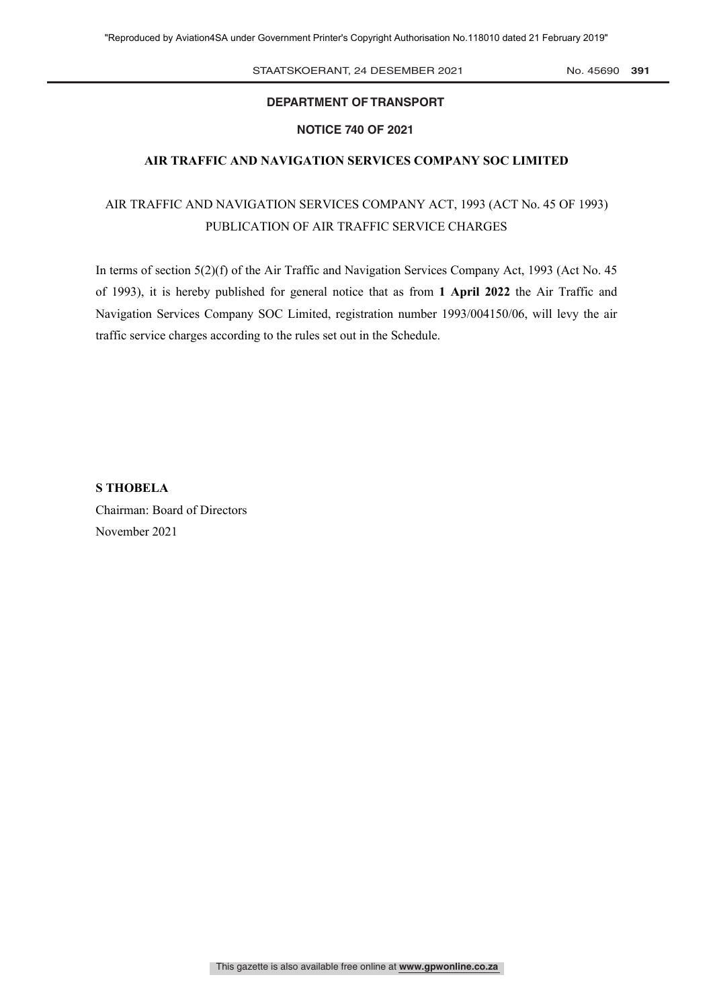STAATSKOERANT, 24 DESEMBER 2021 No. 45690 391

### **DEPARTMENT OF TRANSPORT**

#### **NOTICE 740 OF 2021**

#### **AIR TRAFFIC AND NAVIGATION SERVICES COMPANY SOC LIMITED**

## AIR TRAFFIC AND NAVIGATION SERVICES COMPANY ACT, 1993 (ACT No. 45 OF 1993) PUBLICATION OF AIR TRAFFIC SERVICE CHARGES

In terms of section 5(2)(f) of the Air Traffic and Navigation Services Company Act, 1993 (Act No. 45 of 1993), it is hereby published for general notice that as from **1 April 2022** the Air Traffic and Navigation Services Company SOC Limited, registration number 1993/004150/06, will levy the air traffic service charges according to the rules set out in the Schedule.

**S THOBELA** Chairman: Board of Directors November 2021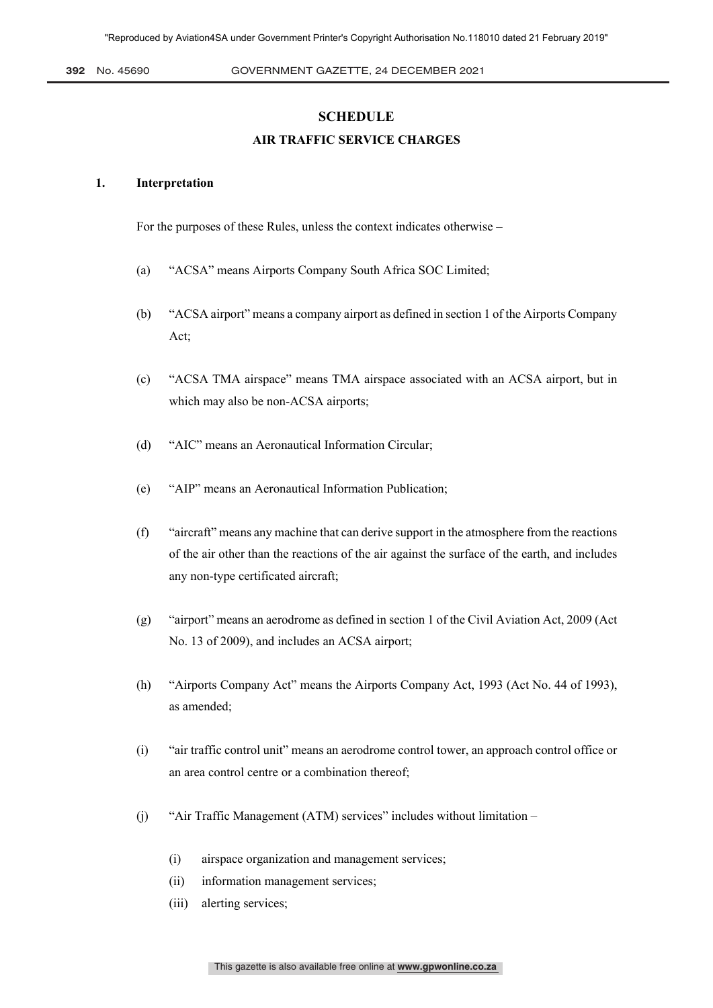#### **SCHEDULE**

#### **AIR TRAFFIC SERVICE CHARGES**

#### **1. Interpretation**

For the purposes of these Rules, unless the context indicates otherwise –

- (a) "ACSA" means Airports Company South Africa SOC Limited;
- (b) "ACSA airport" means a company airport as defined in section 1 of the Airports Company Act;
- (c) "ACSA TMA airspace" means TMA airspace associated with an ACSA airport, but in which may also be non-ACSA airports;
- (d) "AIC" means an Aeronautical Information Circular;
- (e) "AIP" means an Aeronautical Information Publication;
- (f) "aircraft" means any machine that can derive support in the atmosphere from the reactions of the air other than the reactions of the air against the surface of the earth, and includes any non-type certificated aircraft;
- (g) "airport" means an aerodrome as defined in section 1 of the Civil Aviation Act, 2009 (Act No. 13 of 2009), and includes an ACSA airport;
- (h) "Airports Company Act" means the Airports Company Act, 1993 (Act No. 44 of 1993), as amended;
- (i) "air traffic control unit" means an aerodrome control tower, an approach control office or an area control centre or a combination thereof;
- (j) "Air Traffic Management (ATM) services" includes without limitation
	- (i) airspace organization and management services;
	- (ii) information management services;
	- (iii) alerting services;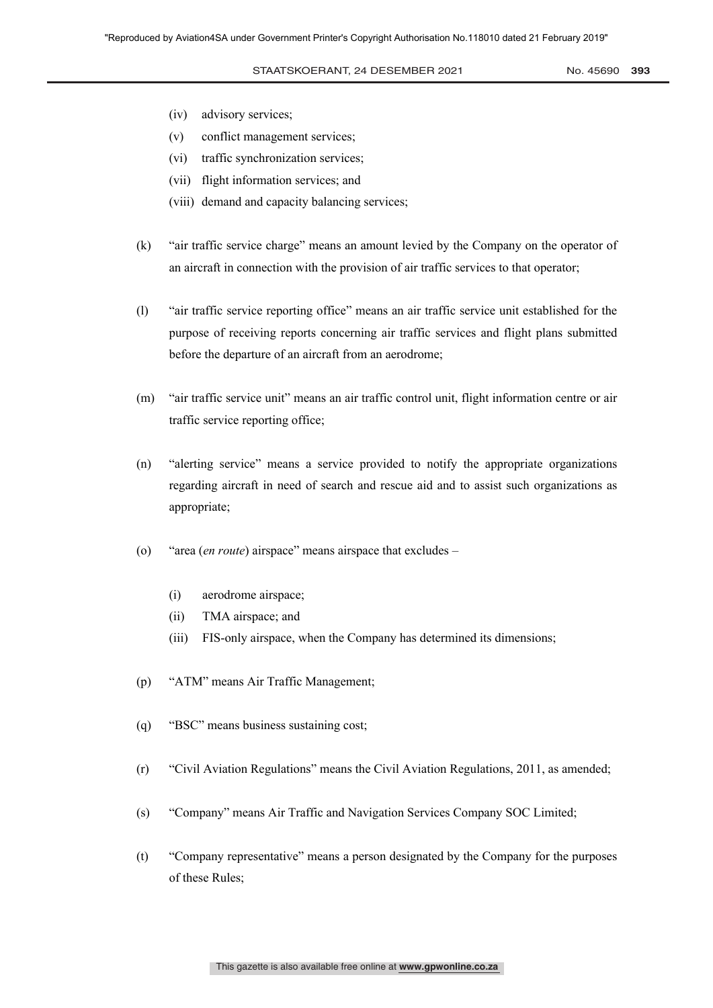- (iv) advisory services;
- (v) conflict management services;
- (vi) traffic synchronization services;
- (vii) flight information services; and
- (viii) demand and capacity balancing services;
- (k) "air traffic service charge" means an amount levied by the Company on the operator of an aircraft in connection with the provision of air traffic services to that operator;
- (l) "air traffic service reporting office" means an air traffic service unit established for the purpose of receiving reports concerning air traffic services and flight plans submitted before the departure of an aircraft from an aerodrome;
- (m) "air traffic service unit" means an air traffic control unit, flight information centre or air traffic service reporting office;
- (n) "alerting service" means a service provided to notify the appropriate organizations regarding aircraft in need of search and rescue aid and to assist such organizations as appropriate;
- (o) "area (*en route*) airspace" means airspace that excludes
	- (i) aerodrome airspace;
	- (ii) TMA airspace; and
	- (iii) FIS-only airspace, when the Company has determined its dimensions;
- (p) "ATM" means Air Traffic Management;
- (q) "BSC" means business sustaining cost;
- (r) "Civil Aviation Regulations" means the Civil Aviation Regulations, 2011, as amended;
- (s) "Company" means Air Traffic and Navigation Services Company SOC Limited;
- (t) "Company representative" means a person designated by the Company for the purposes of these Rules;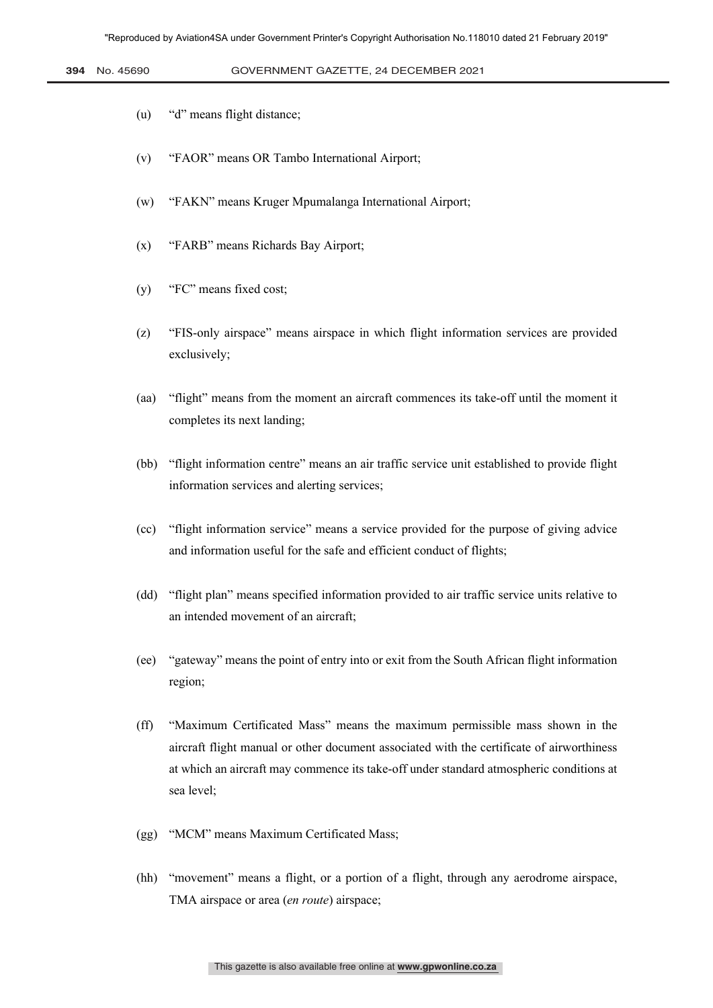- (u) "d" means flight distance;
- (v) "FAOR" means OR Tambo International Airport;
- (w) "FAKN" means Kruger Mpumalanga International Airport;
- (x) "FARB" means Richards Bay Airport;
- (y) "FC" means fixed cost;
- (z) "FIS-only airspace" means airspace in which flight information services are provided exclusively;
- (aa) "flight" means from the moment an aircraft commences its take-off until the moment it completes its next landing;
- (bb) "flight information centre" means an air traffic service unit established to provide flight information services and alerting services;
- (cc) "flight information service" means a service provided for the purpose of giving advice and information useful for the safe and efficient conduct of flights;
- (dd) "flight plan" means specified information provided to air traffic service units relative to an intended movement of an aircraft;
- (ee) "gateway" means the point of entry into or exit from the South African flight information region;
- (ff) "Maximum Certificated Mass" means the maximum permissible mass shown in the aircraft flight manual or other document associated with the certificate of airworthiness at which an aircraft may commence its take-off under standard atmospheric conditions at sea level;
- (gg) "MCM" means Maximum Certificated Mass;
- (hh) "movement" means a flight, or a portion of a flight, through any aerodrome airspace, TMA airspace or area (*en route*) airspace;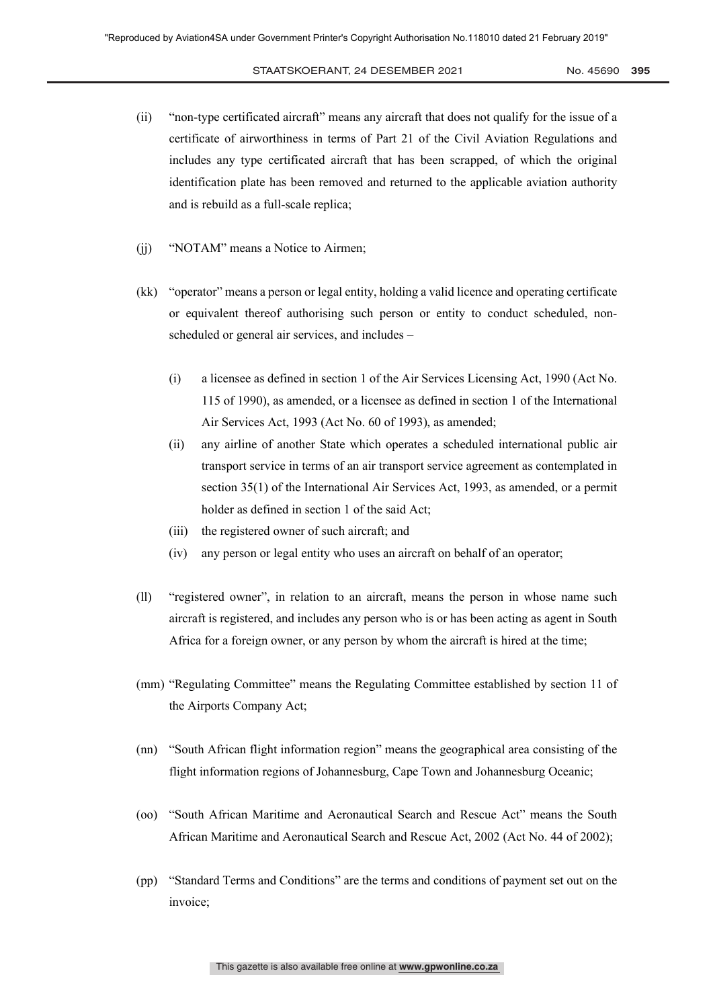# STAATSKOERANT, 24 Desember 2021 No. 45690 **395** 5

- (ii) "non-type certificated aircraft" means any aircraft that does not qualify for the issue of a certificate of airworthiness in terms of Part 21 of the Civil Aviation Regulations and includes any type certificated aircraft that has been scrapped, of which the original identification plate has been removed and returned to the applicable aviation authority and is rebuild as a full-scale replica;
- (ii) "NOTAM" means a Notice to Airmen;
- (kk) "operator" means a person or legal entity, holding a valid licence and operating certificate or equivalent thereof authorising such person or entity to conduct scheduled, nonscheduled or general air services, and includes –
	- (i) a licensee as defined in section 1 of the Air Services Licensing Act, 1990 (Act No. 115 of 1990), as amended, or a licensee as defined in section 1 of the International Air Services Act, 1993 (Act No. 60 of 1993), as amended;
	- (ii) any airline of another State which operates a scheduled international public air transport service in terms of an air transport service agreement as contemplated in section 35(1) of the International Air Services Act, 1993, as amended, or a permit holder as defined in section 1 of the said Act;
	- (iii) the registered owner of such aircraft; and
	- (iv) any person or legal entity who uses an aircraft on behalf of an operator;
- (ll) "registered owner", in relation to an aircraft, means the person in whose name such aircraft is registered, and includes any person who is or has been acting as agent in South Africa for a foreign owner, or any person by whom the aircraft is hired at the time;
- (mm) "Regulating Committee" means the Regulating Committee established by section 11 of the Airports Company Act;
- (nn) "South African flight information region" means the geographical area consisting of the flight information regions of Johannesburg, Cape Town and Johannesburg Oceanic;
- (oo) "South African Maritime and Aeronautical Search and Rescue Act" means the South African Maritime and Aeronautical Search and Rescue Act, 2002 (Act No. 44 of 2002);
- (pp) "Standard Terms and Conditions" are the terms and conditions of payment set out on the invoice;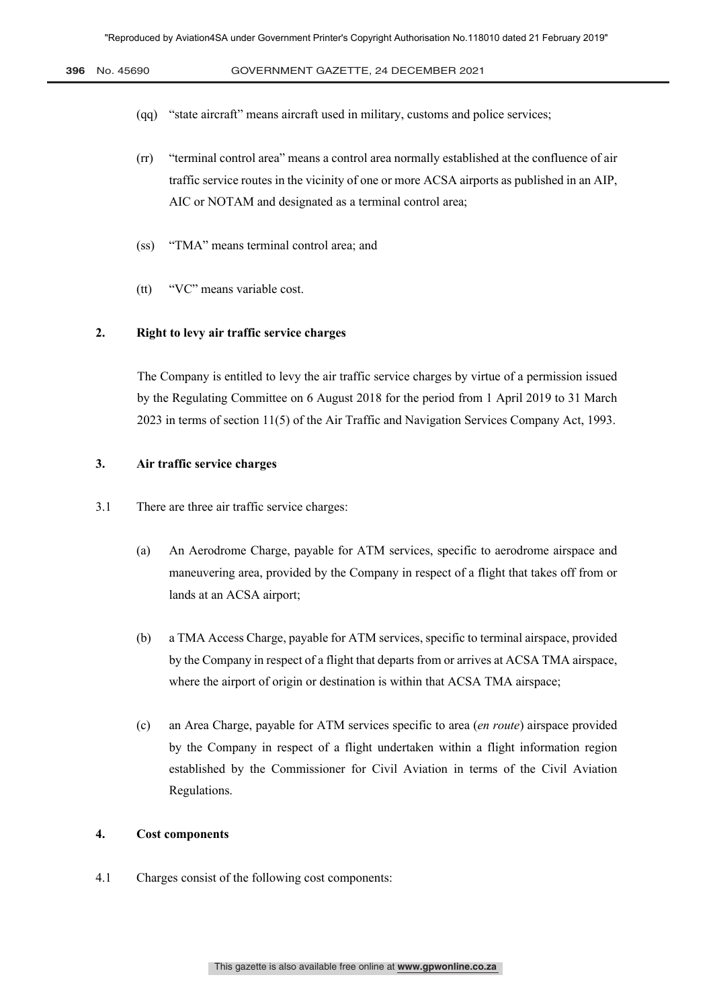- (qq) "state aircraft" means aircraft used in military, customs and police services;
- (rr) "terminal control area" means a control area normally established at the confluence of air traffic service routes in the vicinity of one or more ACSA airports as published in an AIP, AIC or NOTAM and designated as a terminal control area;
- (ss) "TMA" means terminal control area; and
- (tt) "VC" means variable cost.

#### **2. Right to levy air traffic service charges**

The Company is entitled to levy the air traffic service charges by virtue of a permission issued by the Regulating Committee on 6 August 2018 for the period from 1 April 2019 to 31 March 2023 in terms of section 11(5) of the Air Traffic and Navigation Services Company Act, 1993.

#### **3. Air traffic service charges**

- 3.1 There are three air traffic service charges:
	- (a) An Aerodrome Charge, payable for ATM services, specific to aerodrome airspace and maneuvering area, provided by the Company in respect of a flight that takes off from or lands at an ACSA airport;
	- (b) a TMA Access Charge, payable for ATM services, specific to terminal airspace, provided by the Company in respect of a flight that departs from or arrives at ACSA TMA airspace, where the airport of origin or destination is within that ACSA TMA airspace;
	- (c) an Area Charge, payable for ATM services specific to area (*en route*) airspace provided by the Company in respect of a flight undertaken within a flight information region established by the Commissioner for Civil Aviation in terms of the Civil Aviation Regulations.

## **4. Cost components**

4.1 Charges consist of the following cost components: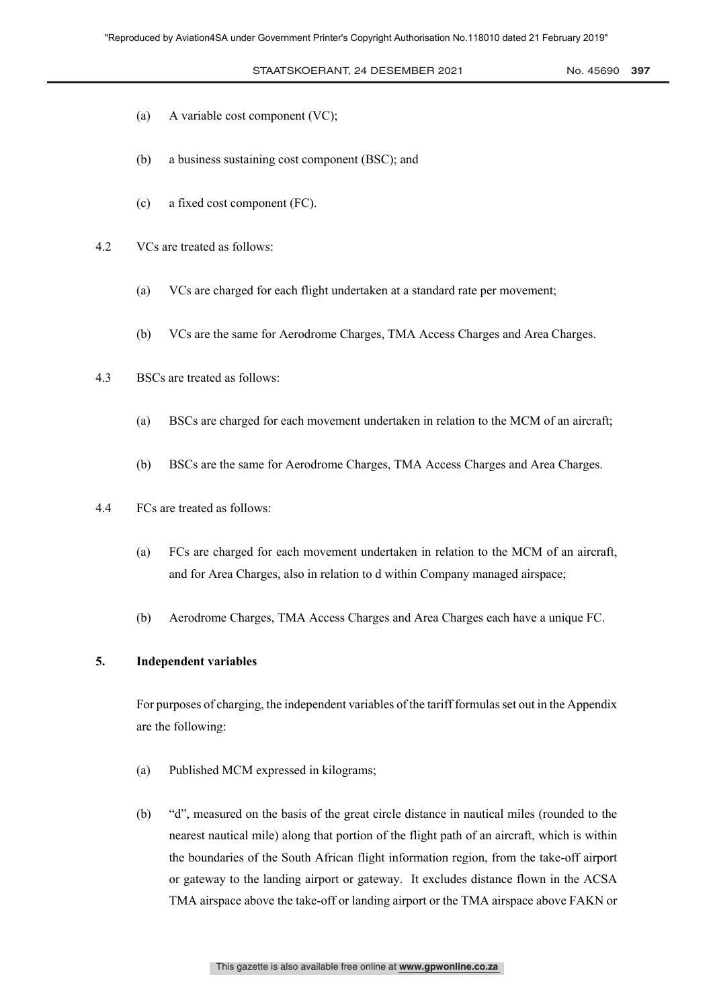#### STAATSKOERANT, 24 DESEMBER 2021 No. 45690 397

- (a) A variable cost component (VC);
- (b) a business sustaining cost component (BSC); and
- (c) a fixed cost component (FC).
- 4.2 VCs are treated as follows:
	- (a) VCs are charged for each flight undertaken at a standard rate per movement;
	- (b) VCs are the same for Aerodrome Charges, TMA Access Charges and Area Charges.
- 4.3 BSCs are treated as follows:
	- (a) BSCs are charged for each movement undertaken in relation to the MCM of an aircraft;
	- (b) BSCs are the same for Aerodrome Charges, TMA Access Charges and Area Charges.
- 4.4 FCs are treated as follows:
	- (a) FCs are charged for each movement undertaken in relation to the MCM of an aircraft, and for Area Charges, also in relation to d within Company managed airspace;
	- (b) Aerodrome Charges, TMA Access Charges and Area Charges each have a unique FC.

#### **5. Independent variables**

For purposes of charging, the independent variables of the tariff formulas set out in the Appendix are the following:

- (a) Published MCM expressed in kilograms;
- (b) "d", measured on the basis of the great circle distance in nautical miles (rounded to the nearest nautical mile) along that portion of the flight path of an aircraft, which is within the boundaries of the South African flight information region, from the take-off airport or gateway to the landing airport or gateway. It excludes distance flown in the ACSA TMA airspace above the take-off or landing airport or the TMA airspace above FAKN or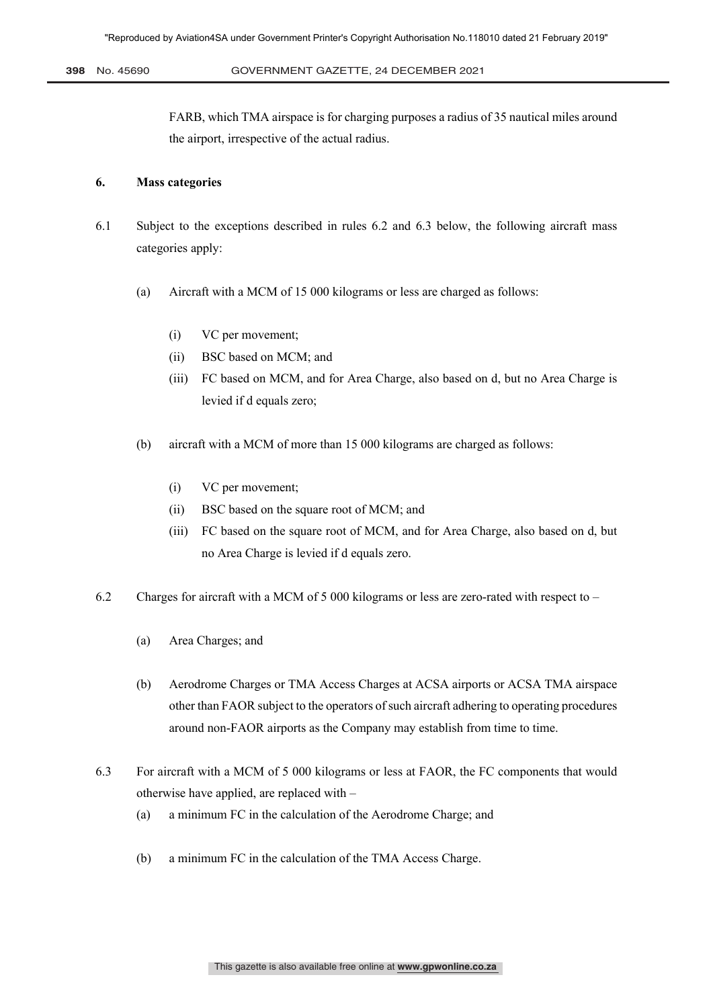**398** No. 45690 GOVERNMENT GAZETTE, 24 December 2021 8

FARB, which TMA airspace is for charging purposes a radius of 35 nautical miles around the airport, irrespective of the actual radius.

#### **6. Mass categories**

- 6.1 Subject to the exceptions described in rules 6.2 and 6.3 below, the following aircraft mass categories apply:
	- (a) Aircraft with a MCM of 15 000 kilograms or less are charged as follows:
		- (i) VC per movement;
		- (ii) BSC based on MCM; and
		- (iii) FC based on MCM, and for Area Charge, also based on d, but no Area Charge is levied if d equals zero;
	- (b) aircraft with a MCM of more than 15 000 kilograms are charged as follows:
		- (i) VC per movement;
		- (ii) BSC based on the square root of MCM; and
		- (iii) FC based on the square root of MCM, and for Area Charge, also based on d, but no Area Charge is levied if d equals zero.
- 6.2 Charges for aircraft with a MCM of 5 000 kilograms or less are zero-rated with respect to
	- (a) Area Charges; and
	- (b) Aerodrome Charges or TMA Access Charges at ACSA airports or ACSA TMA airspace other than FAOR subject to the operators of such aircraft adhering to operating procedures around non-FAOR airports as the Company may establish from time to time.
- 6.3 For aircraft with a MCM of 5 000 kilograms or less at FAOR, the FC components that would otherwise have applied, are replaced with –
	- (a) a minimum FC in the calculation of the Aerodrome Charge; and
	- (b) a minimum FC in the calculation of the TMA Access Charge.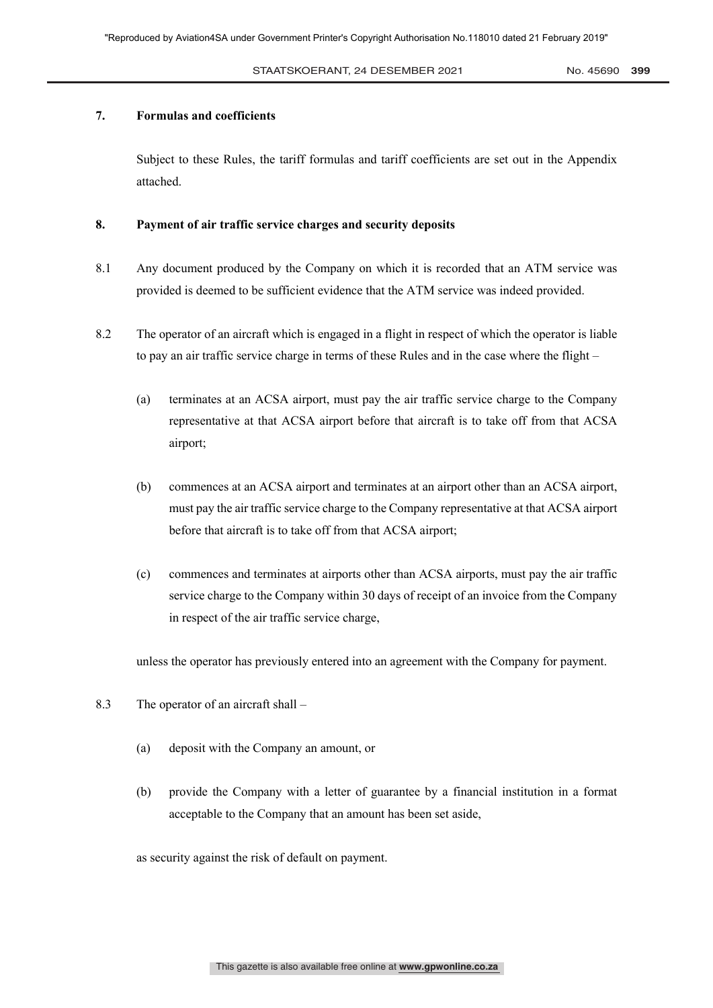#### **7. Formulas and coefficients**

Subject to these Rules, the tariff formulas and tariff coefficients are set out in the Appendix attached.

#### **8. Payment of air traffic service charges and security deposits**

- 8.1 Any document produced by the Company on which it is recorded that an ATM service was provided is deemed to be sufficient evidence that the ATM service was indeed provided.
- 8.2 The operator of an aircraft which is engaged in a flight in respect of which the operator is liable to pay an air traffic service charge in terms of these Rules and in the case where the flight –
	- (a) terminates at an ACSA airport, must pay the air traffic service charge to the Company representative at that ACSA airport before that aircraft is to take off from that ACSA airport;
	- (b) commences at an ACSA airport and terminates at an airport other than an ACSA airport, must pay the air traffic service charge to the Company representative at that ACSA airport before that aircraft is to take off from that ACSA airport;
	- (c) commences and terminates at airports other than ACSA airports, must pay the air traffic service charge to the Company within 30 days of receipt of an invoice from the Company in respect of the air traffic service charge,

unless the operator has previously entered into an agreement with the Company for payment.

- 8.3 The operator of an aircraft shall
	- (a) deposit with the Company an amount, or
	- (b) provide the Company with a letter of guarantee by a financial institution in a format acceptable to the Company that an amount has been set aside,

as security against the risk of default on payment.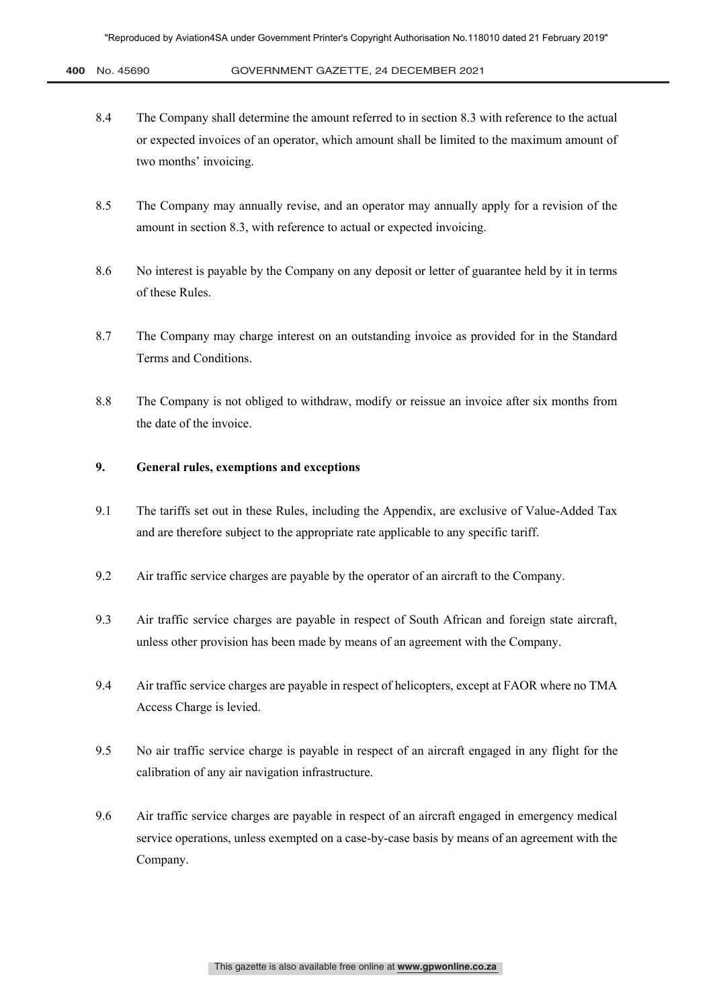- 8.4 The Company shall determine the amount referred to in section 8.3 with reference to the actual or expected invoices of an operator, which amount shall be limited to the maximum amount of two months' invoicing.
- 8.5 The Company may annually revise, and an operator may annually apply for a revision of the amount in section 8.3, with reference to actual or expected invoicing.
- 8.6 No interest is payable by the Company on any deposit or letter of guarantee held by it in terms of these Rules.
- 8.7 The Company may charge interest on an outstanding invoice as provided for in the Standard Terms and Conditions.
- 8.8 The Company is not obliged to withdraw, modify or reissue an invoice after six months from the date of the invoice.

#### **9. General rules, exemptions and exceptions**

- 9.1 The tariffs set out in these Rules, including the Appendix, are exclusive of Value-Added Tax and are therefore subject to the appropriate rate applicable to any specific tariff.
- 9.2 Air traffic service charges are payable by the operator of an aircraft to the Company.
- 9.3 Air traffic service charges are payable in respect of South African and foreign state aircraft, unless other provision has been made by means of an agreement with the Company.
- 9.4 Air traffic service charges are payable in respect of helicopters, except at FAOR where no TMA Access Charge is levied.
- 9.5 No air traffic service charge is payable in respect of an aircraft engaged in any flight for the calibration of any air navigation infrastructure.
- 9.6 Air traffic service charges are payable in respect of an aircraft engaged in emergency medical service operations, unless exempted on a case-by-case basis by means of an agreement with the Company.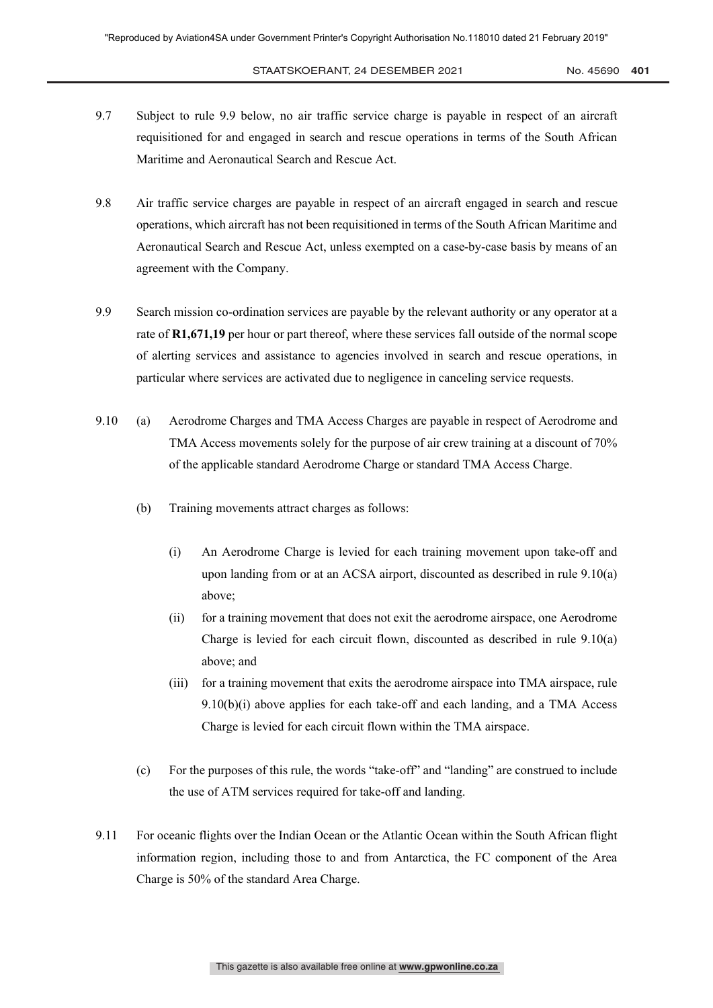- 9.7 Subject to rule 9.9 below, no air traffic service charge is payable in respect of an aircraft requisitioned for and engaged in search and rescue operations in terms of the South African Maritime and Aeronautical Search and Rescue Act.
- 9.8 Air traffic service charges are payable in respect of an aircraft engaged in search and rescue operations, which aircraft has not been requisitioned in terms of the South African Maritime and Aeronautical Search and Rescue Act, unless exempted on a case-by-case basis by means of an agreement with the Company.
- 9.9 Search mission co-ordination services are payable by the relevant authority or any operator at a rate of **R1,671,19** per hour or part thereof, where these services fall outside of the normal scope of alerting services and assistance to agencies involved in search and rescue operations, in particular where services are activated due to negligence in canceling service requests.
- 9.10 (a) Aerodrome Charges and TMA Access Charges are payable in respect of Aerodrome and TMA Access movements solely for the purpose of air crew training at a discount of 70% of the applicable standard Aerodrome Charge or standard TMA Access Charge.
	- (b) Training movements attract charges as follows:
		- (i) An Aerodrome Charge is levied for each training movement upon take-off and upon landing from or at an ACSA airport, discounted as described in rule 9.10(a) above;
		- (ii) for a training movement that does not exit the aerodrome airspace, one Aerodrome Charge is levied for each circuit flown, discounted as described in rule 9.10(a) above; and
		- (iii) for a training movement that exits the aerodrome airspace into TMA airspace, rule  $9.10(b)(i)$  above applies for each take-off and each landing, and a TMA Access Charge is levied for each circuit flown within the TMA airspace.
	- (c) For the purposes of this rule, the words "take-off" and "landing" are construed to include the use of ATM services required for take-off and landing.
- 9.11 For oceanic flights over the Indian Ocean or the Atlantic Ocean within the South African flight information region, including those to and from Antarctica, the FC component of the Area Charge is 50% of the standard Area Charge.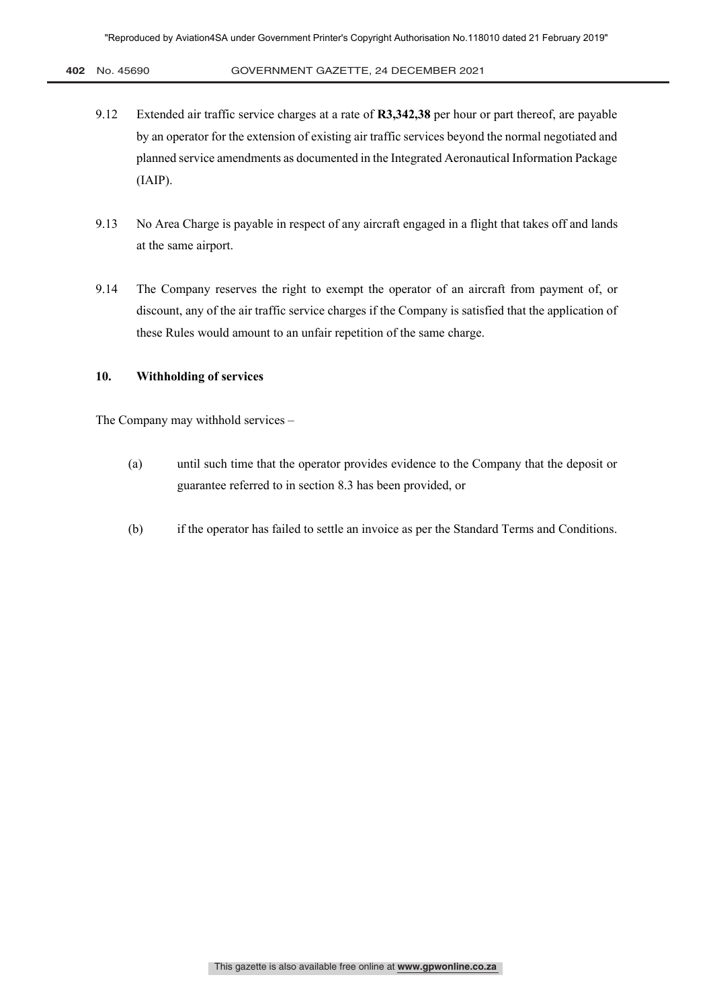- 9.12 Extended air traffic service charges at a rate of **R3,342,38** per hour or part thereof, are payable by an operator for the extension of existing air traffic services beyond the normal negotiated and planned service amendments as documented in the Integrated Aeronautical Information Package (IAIP).
- 9.13 No Area Charge is payable in respect of any aircraft engaged in a flight that takes off and lands at the same airport.
- 9.14 The Company reserves the right to exempt the operator of an aircraft from payment of, or discount, any of the air traffic service charges if the Company is satisfied that the application of these Rules would amount to an unfair repetition of the same charge.

#### **10. Withholding of services**

The Company may withhold services –

- (a) until such time that the operator provides evidence to the Company that the deposit or guarantee referred to in section 8.3 has been provided, or
- (b) if the operator has failed to settle an invoice as per the Standard Terms and Conditions.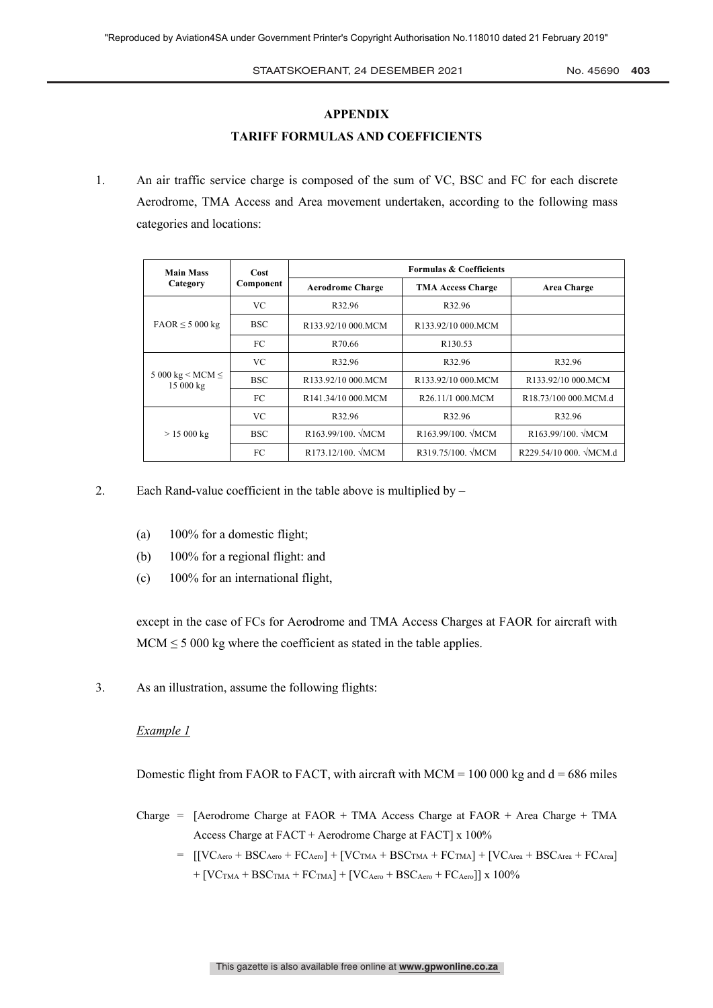#### STAATSKOERANT, 24 DESEMBER 2021 No. 45690 403

#### **APPENDIX**

#### **TARIFF FORMULAS AND COEFFICIENTS**

1. An air traffic service charge is composed of the sum of VC, BSC and FC for each discrete Aerodrome, TMA Access and Area movement undertaken, according to the following mass categories and locations:

| <b>Main Mass</b><br>Category            | Cost<br>Component | <b>Formulas &amp; Coefficients</b> |                          |                        |
|-----------------------------------------|-------------------|------------------------------------|--------------------------|------------------------|
|                                         |                   | <b>Aerodrome Charge</b>            | <b>TMA Access Charge</b> | Area Charge            |
| $FAOR \leq 5000 kg$                     | VC.               | R32.96                             | R32.96                   |                        |
|                                         | <b>BSC</b>        | R133.92/10 000.MCM                 | R133.92/10 000.MCM       |                        |
|                                         | FC.               | R70.66                             | R <sub>130.53</sub>      |                        |
| 5 000 kg $\leq$ MCM $\leq$<br>15 000 kg | VC.               | R32.96                             | R32.96                   | R32.96                 |
|                                         | <b>BSC</b>        | R133.92/10 000.MCM                 | R133.92/10 000.MCM       | R133.92/10 000.MCM     |
|                                         | FC                | R141.34/10 000.MCM                 | R26.11/1 000.MCM         | R18.73/100 000.MCM.d   |
| > 15000 kg                              | VC.               | R32.96                             | R32.96                   | R32.96                 |
|                                         | <b>BSC</b>        | R163.99/100. $\sqrt{MCM}$          | R163.99/100. VMCM        | R163.99/100. VMCM      |
|                                         | FC                | $R173.12/100.$ MCM                 | R319.75/100. VMCM        | R229.54/10 000. VMCM.d |

- 2. Each Rand-value coefficient in the table above is multiplied by
	- (a) 100% for a domestic flight;
	- (b) 100% for a regional flight: and
	- (c) 100% for an international flight,

except in the case of FCs for Aerodrome and TMA Access Charges at FAOR for aircraft with  $MCM \leq 5000$  kg where the coefficient as stated in the table applies.

3. As an illustration, assume the following flights:

#### *Example 1*

Domestic flight from FAOR to FACT, with aircraft with  $MCM = 100000$  kg and  $d = 686$  miles

- Charge = [Aerodrome Charge at FAOR + TMA Access Charge at FAOR + Area Charge + TMA Access Charge at FACT + Aerodrome Charge at FACT] x 100%
	- $=$   $[[VC<sub>Arero</sub> + BSC<sub>Aero</sub> + FC<sub>Aero</sub>] + [VC<sub>TMA</sub> + BSC<sub>TMA</sub> + FC<sub>TMA</sub>] + [VC<sub>Area</sub> + BSC<sub>Area</sub> + FC<sub>Area</sub>]$  $+$   $[VC<sub>TMA</sub> + BSC<sub>TMA</sub> + FC<sub>TMA</sub>] + [VC<sub>Aero</sub> + BSC<sub>Aero</sub> + FC<sub>Aero</sub>]$  x 100%